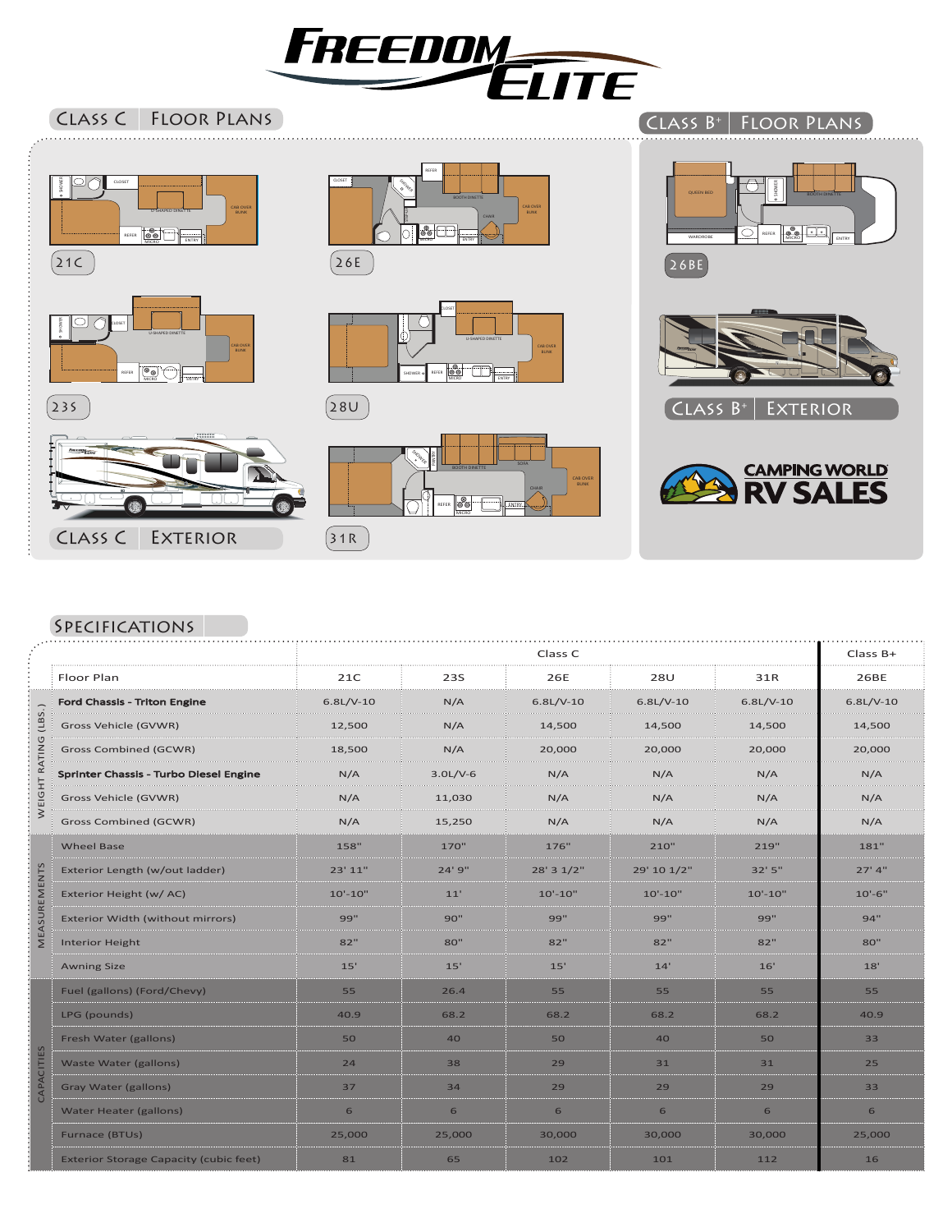

## CLASS C FLOOR PLANS CONSERVATION CLASS B<sup>+</sup> FLOOR PLANS





















## **SPECIFICATIONS**

|  |                                               | Class C      |             |                     |              |                                                                                                                                                                                    | Class B+     |
|--|-----------------------------------------------|--------------|-------------|---------------------|--------------|------------------------------------------------------------------------------------------------------------------------------------------------------------------------------------|--------------|
|  | Floor Plan                                    | 21C          | 23S         | 26E                 | 28U          | 31R                                                                                                                                                                                | <b>26BE</b>  |
|  | <b>Ford Chassis - Triton Engine</b>           | $6.8$ L/V-10 | N/A         | $6.8 L/V-10$<br>. 2 | $6.8 L/V-10$ | $6.8 L/V-10$                                                                                                                                                                       | $6.8 L/V-10$ |
|  | Gross Vehicle (GVWR)                          | 12,500       | N/A         | 14,500              | 14,500       | 14,500                                                                                                                                                                             | 14,500       |
|  | <b>Gross Combined (GCWR)</b>                  | 18,500       | N/A         | 20,000              | 20,000       | 20,000                                                                                                                                                                             | 20,000       |
|  | <b>Sprinter Chassis - Turbo Diesel Engine</b> | N/A          | $3.0 L/V-6$ | N/A                 | N/A          | N/A                                                                                                                                                                                | N/A          |
|  | Gross Vehicle (GVWR)                          | N/A          | 11,030      | N/A                 | N/A          | N/A                                                                                                                                                                                | N/A          |
|  | <b>Gross Combined (GCWR)</b>                  | N/A          | 15,250      | N/A                 | N/A          | N/A                                                                                                                                                                                | N/A          |
|  | <b>Wheel Base</b>                             | 158"         | 170"        | 176"                | 210"         | 219"                                                                                                                                                                               | 181"         |
|  | Exterior Length (w/out ladder)                | 23' 11"      | 24'9''      | 28' 3 1/2"          | 29' 10 1/2"  | 32'5''                                                                                                                                                                             | $27'$ 4"     |
|  | Exterior Height (w/ AC)                       | $10' - 10"$  | 11'         | $10' - 10"$         | $10' - 10"$  | .<br>$10'-6''$<br>$10' - 10"$<br>99"<br>94"<br>82"<br>80"<br>16'<br>18'<br>55<br>55<br>68.2<br>40.9<br>50<br>33<br>31<br>25<br>29<br>33<br>6<br>6<br>30,000<br>25,000<br>112<br>16 |              |
|  | Exterior Width (without mirrors)              | 99"          | 90"         | 99"                 | 99"          |                                                                                                                                                                                    |              |
|  | <b>Interior Height</b>                        | 82"          | 80"         | 82"                 | 82"          |                                                                                                                                                                                    |              |
|  | <b>Awning Size</b>                            | 15'          | 15'         | 15'                 | 14'          |                                                                                                                                                                                    |              |
|  | Fuel (gallons) (Ford/Chevy)                   | 55           | 26.4        | 55                  | 55           |                                                                                                                                                                                    |              |
|  | LPG (pounds)                                  | 40.9         | 68.2        | 68.2                | 68.2         |                                                                                                                                                                                    |              |
|  | Fresh Water (gallons)                         | 50           | 40          | 50                  | 40           |                                                                                                                                                                                    |              |
|  | Waste Water (gallons)                         | 24           | 38          | 29                  | 31           |                                                                                                                                                                                    |              |
|  | Gray Water (gallons)                          | 37           | 34          | 29                  | 29           |                                                                                                                                                                                    |              |
|  | Water Heater (gallons)                        | 6            | 6           | 6                   | 6            |                                                                                                                                                                                    |              |
|  | Furnace (BTUs)                                | 25,000       | 25,000      | 30,000              | 30,000       |                                                                                                                                                                                    |              |
|  | <b>Exterior Storage Capacity (cubic feet)</b> | 81           | 65          | 102                 | 101          |                                                                                                                                                                                    |              |